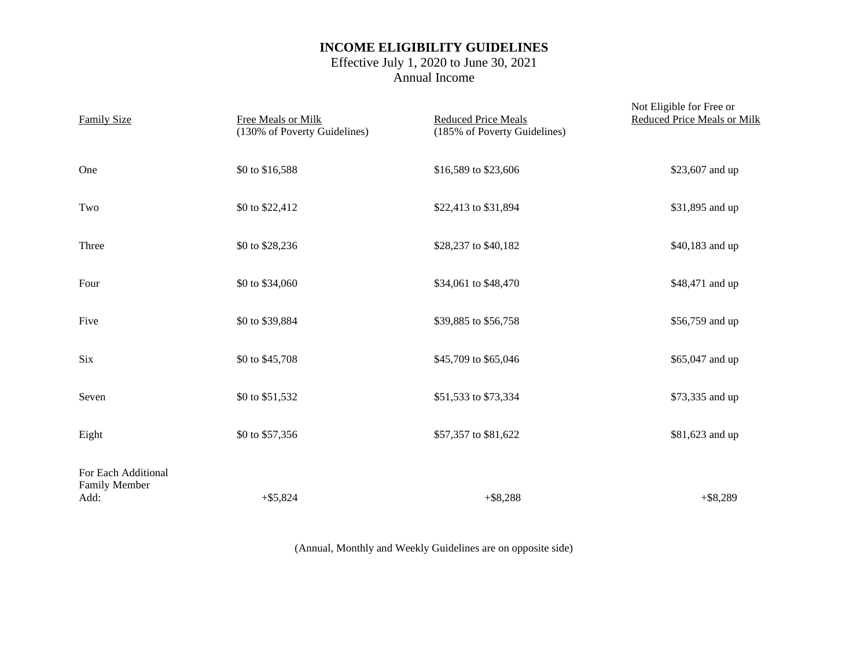# **INCOME ELIGIBILITY GUIDELINES**

## Effective July 1, 2020 to June 30, 2021 Annual Income

| <b>Family Size</b>                           | Free Meals or Milk<br>(130% of Poverty Guidelines) | <b>Reduced Price Meals</b><br>(185% of Poverty Guidelines) | Not Eligible for Free or<br><b>Reduced Price Meals or Milk</b> |
|----------------------------------------------|----------------------------------------------------|------------------------------------------------------------|----------------------------------------------------------------|
| One                                          | \$0 to \$16,588                                    | \$16,589 to \$23,606                                       | \$23,607 and up                                                |
| Two                                          | \$0 to \$22,412                                    | \$22,413 to \$31,894                                       | \$31,895 and up                                                |
| Three                                        | \$0 to \$28,236                                    | \$28,237 to \$40,182                                       | \$40,183 and up                                                |
| Four                                         | \$0 to \$34,060                                    | \$34,061 to \$48,470                                       | \$48,471 and up                                                |
| Five                                         | \$0 to \$39,884                                    | \$39,885 to \$56,758                                       | \$56,759 and up                                                |
| <b>Six</b>                                   | \$0 to \$45,708                                    | \$45,709 to \$65,046                                       | \$65,047 and up                                                |
| Seven                                        | \$0 to \$51,532                                    | \$51,533 to \$73,334                                       | \$73,335 and up                                                |
| Eight                                        | \$0 to \$57,356                                    | \$57,357 to \$81,622                                       | \$81,623 and up                                                |
| For Each Additional<br>Family Member<br>Add: | $+$ \$5,824                                        | $+$ \$8,288                                                | $+$ \$8,289                                                    |

(Annual, Monthly and Weekly Guidelines are on opposite side)